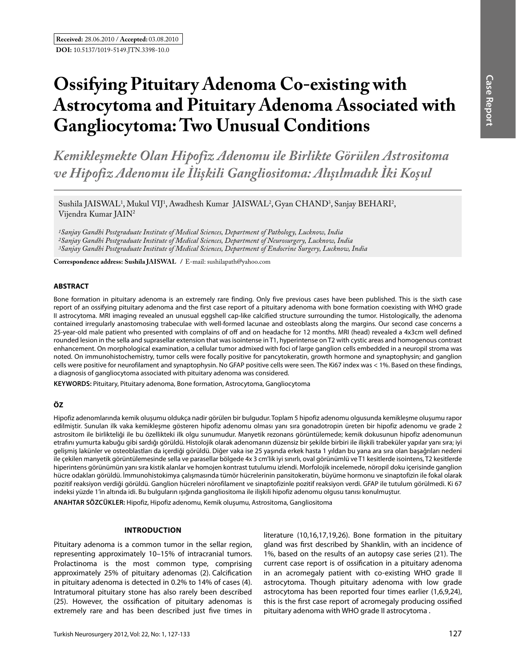# **Ossifying Pituitary Adenoma Co-existing with Astrocytoma and Pituitary Adenoma Associated with Gangliocytoma: Two Unusual Conditions**

*Kemikleşmekte Olan Hipofiz Adenomu ile Birlikte Görülen Astrositoma ve Hipofiz Adenomu ile İlişkili Gangliositoma: Alışılmadık İki Koşul*

Sushila JAISWAL<sup>1</sup>, Mukul VIJ<sup>1</sup>, Awadhesh Kumar JAISWAL<sup>2</sup>, Gyan CHAND<sup>3</sup>, Sanjay BEHARI<sup>2</sup>, Vijendra Kumar JAIN<sup>2</sup>

*1Sanjay Gandhi Postgraduate Institute of Medical Sciences, Department of Pathology, Lucknow, India 2Sanjay Gandhi Postgraduate Institute of Medical Sciences, Department of Neurosurgery, Lucknow, India 3Sanjay Gandhi Postgraduate Institute of Medical Sciences, Department of Endocrine Surgery, Lucknow, India*

**Correspondence address: Sushila JaIswal /** E-mail: sushilapath@yahoo.com

# **ABSTRACT**

Bone formation in pituitary adenoma is an extremely rare finding. Only five previous cases have been published. This is the sixth case report of an ossifying pituitary adenoma and the first case report of a pituitary adenoma with bone formation coexisting with WHO grade II astrocytoma. MRI imaging revealed an unusual eggshell cap-like calcified structure surrounding the tumor. Histologically, the adenoma contained irregularly anastomosing trabeculae with well-formed lacunae and osteoblasts along the margins. Our second case concerns a 25-year-old male patient who presented with complains of off and on headache for 12 months. MRI (head) revealed a 4x3cm well defined rounded lesion in the sella and suprasellar extension that was isointense in T1, hyperintense on T2 with cystic areas and homogenous contrast enhancement. On morphological examination, a cellular tumor admixed with foci of large ganglion cells embedded in a neuropil stroma was noted. On immunohistochemistry, tumor cells were focally positive for pancytokeratin, growth hormone and synaptophysin; and ganglion cells were positive for neurofilament and synaptophysin. No GFAP positive cells were seen. The Ki67 index was < 1%. Based on these findings, a diagnosis of gangliocytoma associated with pituitary adenoma was considered.

**Keywords:** Pituitary, Pituitary adenoma, Bone formation, Astrocytoma, Gangliocytoma

# **ÖZ**

Hipofiz adenomlarında kemik oluşumu oldukça nadir görülen bir bulgudur. Toplam 5 hipofiz adenomu olgusunda kemikleşme oluşumu rapor edilmiştir. Sunulan ilk vaka kemikleşme gösteren hipofiz adenomu olması yanı sıra gonadotropin üreten bir hipofiz adenomu ve grade 2 astrositom ile birlikteliği ile bu özellikteki ilk olgu sunumudur. Manyetik rezonans görüntülemede; kemik dokusunun hipofiz adenomunun etrafını yumurta kabuğu gibi sardığı görüldü. Histolojik olarak adenomanın düzensiz bir şekilde birbiri ile ilişkili trabeküler yapılar yanı sıra; iyi gelişmiş lakünler ve osteoblastları da içerdiği görüldü. Diğer vaka ise 25 yaşında erkek hasta 1 yıldan bu yana ara sıra olan başağrıları nedeni ile çekilen manyetik görüntülemesinde sella ve parasellar bölgede 4x 3 cm'lik iyi sınırlı, oval görünümlü ve T1 kesitlerde isointens, T2 kesitlerde hiperintens görünümün yanı sıra kistik alanlar ve homojen kontrast tutulumu izlendi. Morfolojik incelemede, nöropil doku içerisinde ganglion hücre odakları görüldü. İmmunohistokimya çalışmasında tümör hücrelerinin pansitokeratin, büyüme hormonu ve sinaptofizin ile fokal olarak pozitif reaksiyon verdiği görüldü. Ganglion hücreleri nörofilament ve sinaptofizinle pozitif reaksiyon verdi. GFAP ile tutulum görülmedi. Ki 67 indeksi yüzde 1'in altında idi. Bu bulguların ışığında gangliositoma ile ilişkili hipofiz adenomu olgusu tanısı konulmuştur.

**ANAHTAR SÖZCÜKLER:** Hipofiz, Hipofiz adenomu, Kemik oluşumu, Astrositoma, Gangliositoma

# **Introduction**

Pituitary adenoma is a common tumor in the sellar region, representing approximately 10–15% of intracranial tumors. Prolactinoma is the most common type, comprising approximately 25% of pituitary adenomas (2). Calcification in pituitary adenoma is detected in 0.2% to 14% of cases (4). Intratumoral pituitary stone has also rarely been described (25). However, the ossification of pituitary adenomas is extremely rare and has been described just five times in literature (10,16,17,19,26). Bone formation in the pituitary gland was first described by Shanklin, with an incidence of 1%, based on the results of an autopsy case series (21). The current case report is of ossification in a pituitary adenoma in an acromegaly patient with co-existing WHO grade II astrocytoma. Though pituitary adenoma with low grade astrocytoma has been reported four times earlier (1,6,9,24), this is the first case report of acromegaly producing ossified pituitary adenoma with WHO grade II astrocytoma .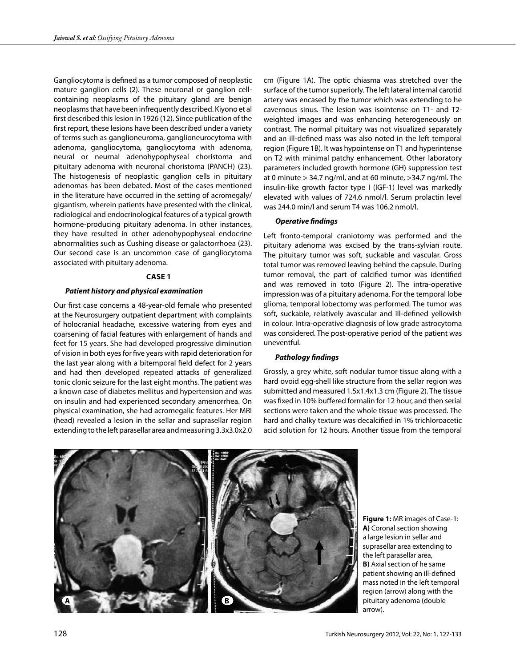Gangliocytoma is defined as a tumor composed of neoplastic mature ganglion cells (2). These neuronal or ganglion cellcontaining neoplasms of the pituitary gland are benign neoplasms that have been infrequently described. Kiyono et al first described this lesion in 1926 (12). Since publication of the first report, these lesions have been described under a variety of terms such as ganglioneuroma, ganglioneurocytoma with adenoma, gangliocytoma, gangliocytoma with adenoma, neural or neurnal adenohypophyseal choristoma and pituitary adenoma with neuronal choristoma (PANCH) (23). The histogenesis of neoplastic ganglion cells in pituitary adenomas has been debated. Most of the cases mentioned in the literature have occurred in the setting of acromegaly/ gigantism, wherein patients have presented with the clinical, radiological and endocrinological features of a typical growth hormone-producing pituitary adenoma. In other instances, they have resulted in other adenohypophyseal endocrine abnormalities such as Cushing disease or galactorrhoea (23). Our second case is an uncommon case of gangliocytoma associated with pituitary adenoma.

## **Case 1**

## *Patient history and physical examination*

Our first case concerns a 48-year-old female who presented at the Neurosurgery outpatient department with complaints of holocranial headache, excessive watering from eyes and coarsening of facial features with enlargement of hands and feet for 15 years. She had developed progressive diminution of vision in both eyes for five years with rapid deterioration for the last year along with a bitemporal field defect for 2 years and had then developed repeated attacks of generalized tonic clonic seizure for the last eight months. The patient was a known case of diabetes mellitus and hypertension and was on insulin and had experienced secondary amenorrhea. On physical examination, she had acromegalic features. Her MRI (head) revealed a lesion in the sellar and suprasellar region extending to the left parasellar area and measuring 3.3x3.0x2.0

cm (Figure 1A). The optic chiasma was stretched over the surface of the tumor superiorly. The left lateral internal carotid artery was encased by the tumor which was extending to he cavernous sinus. The lesion was isointense on T1- and T2 weighted images and was enhancing heterogeneously on contrast. The normal pituitary was not visualized separately and an ill-defined mass was also noted in the left temporal region (Figure 1B). It was hypointense on T1 and hyperintense on T2 with minimal patchy enhancement. Other laboratory parameters included growth hormone (GH) suppression test at 0 minute  $> 34.7$  ng/ml, and at 60 minute,  $> 34.7$  ng/ml. The insulin-like growth factor type I (IGF-1) level was markedly elevated with values of 724.6 nmol/l. Serum prolactin level was 244.0 min/l and serum T4 was 106.2 nmol/l.

#### *Operative findings*

Left fronto-temporal craniotomy was performed and the pituitary adenoma was excised by the trans-sylvian route. The pituitary tumor was soft, suckable and vascular. Gross total tumor was removed leaving behind the capsule. During tumor removal, the part of calcified tumor was identified and was removed in toto (Figure 2). The intra-operative impression was of a pituitary adenoma. For the temporal lobe glioma, temporal lobectomy was performed. The tumor was soft, suckable, relatively avascular and ill-defined yellowish in colour. Intra-operative diagnosis of low grade astrocytoma was considered. The post-operative period of the patient was uneventful.

#### *Pathology findings*

Grossly, a grey white, soft nodular tumor tissue along with a hard ovoid egg-shell like structure from the sellar region was submitted and measured 1.5x1.4x1.3 cm (Figure 2). The tissue was fixed in 10% buffered formalin for 12 hour, and then serial sections were taken and the whole tissue was processed. The hard and chalky texture was decalcified in 1% trichloroacetic acid solution for 12 hours. Another tissue from the temporal



**Figure 1:** MR images of Case-1: **A)** Coronal section showing a large lesion in sellar and suprasellar area extending to the left parasellar area, **B)** Axial section of he same patient showing an ill-defined mass noted in the left temporal region (arrow) along with the pituitary adenoma (double arrow).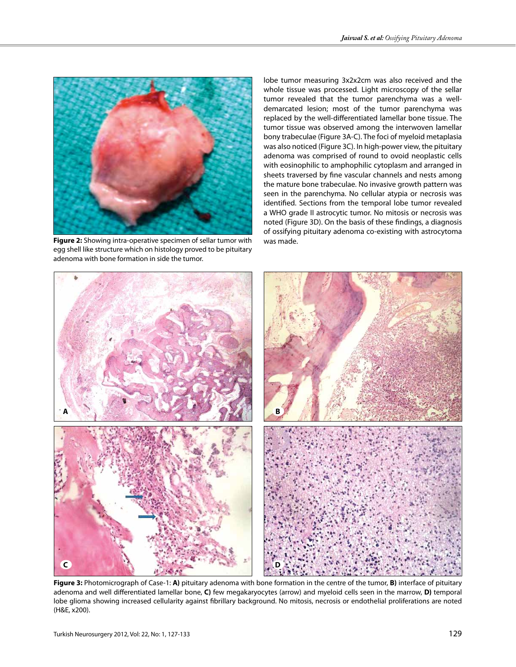

**Figure 2:** Showing intra-operative specimen of sellar tumor with was made. egg shell like structure which on histology proved to be pituitary adenoma with bone formation in side the tumor.

lobe tumor measuring 3x2x2cm was also received and the whole tissue was processed. Light microscopy of the sellar tumor revealed that the tumor parenchyma was a welldemarcated lesion; most of the tumor parenchyma was replaced by the well-differentiated lamellar bone tissue. The tumor tissue was observed among the interwoven lamellar bony trabeculae (Figure 3A-C). The foci of myeloid metaplasia was also noticed (Figure 3C). In high-power view, the pituitary adenoma was comprised of round to ovoid neoplastic cells with eosinophilic to amphophilic cytoplasm and arranged in sheets traversed by fine vascular channels and nests among the mature bone trabeculae. No invasive growth pattern was seen in the parenchyma. No cellular atypia or necrosis was identified. Sections from the temporal lobe tumor revealed a WHO grade II astrocytic tumor. No mitosis or necrosis was noted (Figure 3D). On the basis of these findings, a diagnosis of ossifying pituitary adenoma co-existing with astrocytoma



**Figure 3:** Photomicrograph of Case-1: **A)** pituitary adenoma with bone formation in the centre of the tumor, **B)** interface of pituitary adenoma and well differentiated lamellar bone, **C)** few megakaryocytes (arrow) and myeloid cells seen in the marrow, **D)** temporal lobe glioma showing increased cellularity against fibrillary background. No mitosis, necrosis or endothelial proliferations are noted (H&E, x200).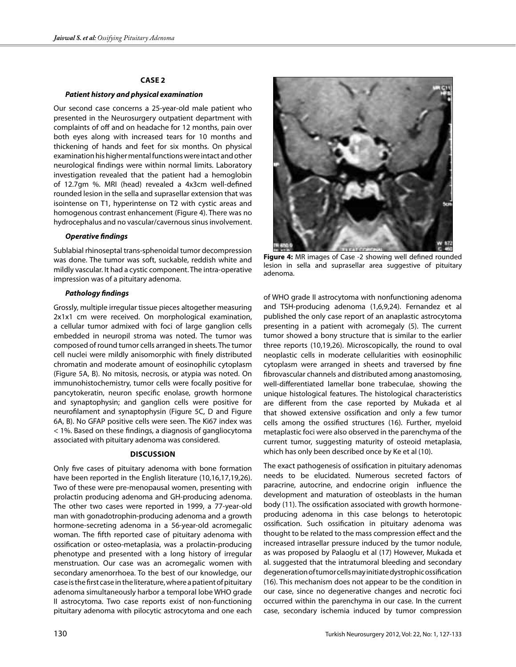## **Case 2**

#### *Patient history and physical examination*

Our second case concerns a 25-year-old male patient who presented in the Neurosurgery outpatient department with complaints of off and on headache for 12 months, pain over both eyes along with increased tears for 10 months and thickening of hands and feet for six months. On physical examination his higher mental functions were intact and other neurological findings were within normal limits. Laboratory investigation revealed that the patient had a hemoglobin of 12.7gm %. MRI (head) revealed a 4x3cm well-defined rounded lesion in the sella and suprasellar extension that was isointense on T1, hyperintense on T2 with cystic areas and homogenous contrast enhancement (Figure 4). There was no hydrocephalus and no vascular/cavernous sinus involvement.

#### *Operative findings*

Sublabial rhinoseptal trans-sphenoidal tumor decompression was done. The tumor was soft, suckable, reddish white and mildly vascular. It had a cystic component. The intra-operative impression was of a pituitary adenoma.

#### *Pathology findings*

Grossly, multiple irregular tissue pieces altogether measuring 2x1x1 cm were received. On morphological examination, a cellular tumor admixed with foci of large ganglion cells embedded in neuropil stroma was noted. The tumor was composed of round tumor cells arranged in sheets. The tumor cell nuclei were mildly anisomorphic with finely distributed chromatin and moderate amount of eosinophilic cytoplasm (Figure 5A, B). No mitosis, necrosis, or atypia was noted. On immunohistochemistry, tumor cells were focally positive for pancytokeratin, neuron specific enolase, growth hormone and synaptophysin; and ganglion cells were positive for neurofilament and synaptophysin (Figure 5C, D and Figure 6A, B). No GFAP positive cells were seen. The Ki67 index was < 1%. Based on these findings, a diagnosis of gangliocytoma associated with pituitary adenoma was considered.

## **Discussion**

Only five cases of pituitary adenoma with bone formation have been reported in the English literature (10,16,17,19,26). Two of these were pre-menopausal women, presenting with prolactin producing adenoma and GH-producing adenoma. The other two cases were reported in 1999, a 77-year-old man with gonadotrophin-producing adenoma and a growth hormone-secreting adenoma in a 56-year-old acromegalic woman. The fifth reported case of pituitary adenoma with ossification or osteo-metaplasia, was a prolactin-producing phenotype and presented with a long history of irregular menstruation. Our case was an acromegalic women with secondary amenorrhoea. To the best of our knowledge, our case is the first case in the literature, where a patient of pituitary adenoma simultaneously harbor a temporal lobe WHO grade II astrocytoma. Two case reports exist of non-functioning pituitary adenoma with pilocytic astrocytoma and one each



**Figure 4:** MR images of Case -2 showing well defined rounded lesion in sella and suprasellar area suggestive of pituitary adenoma.

of WHO grade II astrocytoma with nonfunctioning adenoma and TSH-producing adenoma (1,6,9,24). Fernandez et al published the only case report of an anaplastic astrocytoma presenting in a patient with acromegaly (5). The current tumor showed a bony structure that is similar to the earlier three reports (10,19,26). Microscopically, the round to oval neoplastic cells in moderate cellularities with eosinophilic cytoplasm were arranged in sheets and traversed by fine fibrovascular channels and distributed among anastomosing, well-differentiated lamellar bone trabeculae, showing the unique histological features. The histological characteristics are different from the case reported by Mukada et al that showed extensive ossification and only a few tumor cells among the ossified structures (16). Further, myeloid metaplastic foci were also observed in the parenchyma of the current tumor, suggesting maturity of osteoid metaplasia, which has only been described once by Ke et al (10).

The exact pathogenesis of ossification in pituitary adenomas needs to be elucidated. Numerous secreted factors of paracrine, autocrine, and endocrine origin influence the development and maturation of osteoblasts in the human body (11). The ossification associated with growth hormoneproducing adenoma in this case belongs to heterotopic ossification. Such ossification in pituitary adenoma was thought to be related to the mass compression effect and the increased intrasellar pressure induced by the tumor nodule, as was proposed by Palaoglu et al (17) However, Mukada et al. suggested that the intratumoral bleeding and secondary degeneration of tumor cells may initiate dystrophic ossification (16). This mechanism does not appear to be the condition in our case, since no degenerative changes and necrotic foci occurred within the parenchyma in our case. In the current case, secondary ischemia induced by tumor compression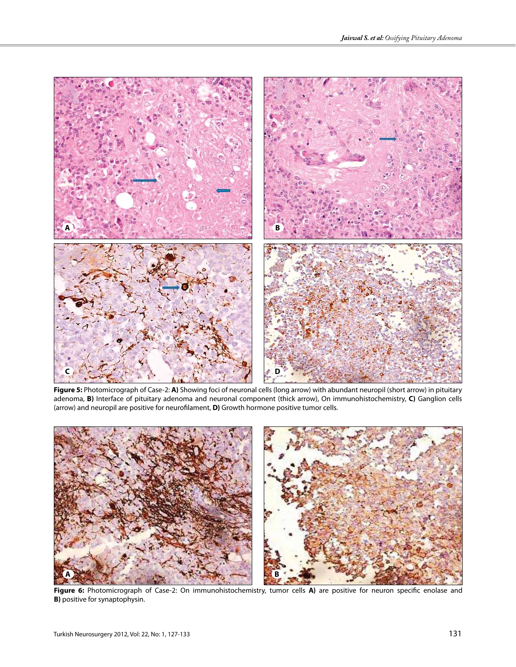

**Figure 5:** Photomicrograph of Case-2: **A)** Showing foci of neuronal cells (long arrow) with abundant neuropil (short arrow) in pituitary adenoma, **B)** Interface of pituitary adenoma and neuronal component (thick arrow), On immunohistochemistry, **C)** Ganglion cells (arrow) and neuropil are positive for neurofilament, **D)** Growth hormone positive tumor cells.



**Figure 6:** Photomicrograph of Case-2: On immunohistochemistry, tumor cells **A)** are positive for neuron specific enolase and **B)** positive for synaptophysin.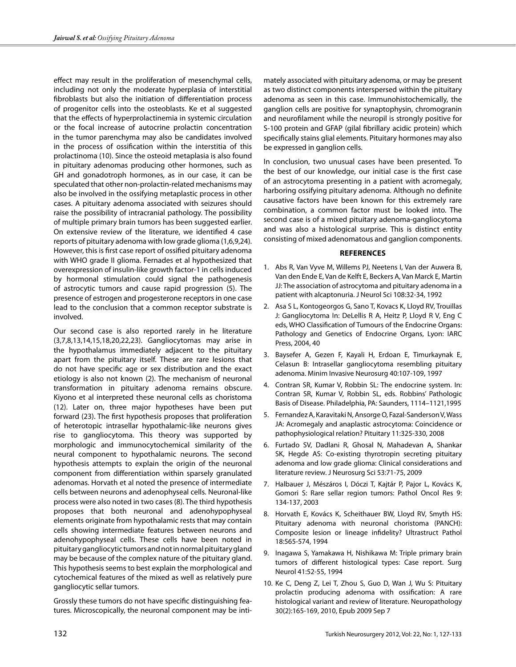effect may result in the proliferation of mesenchymal cells, including not only the moderate hyperplasia of interstitial fibroblasts but also the initiation of differentiation process of progenitor cells into the osteoblasts. Ke et al suggested that the effects of hyperprolactinemia in systemic circulation or the focal increase of autocrine prolactin concentration in the tumor parenchyma may also be candidates involved in the process of ossification within the interstitia of this prolactinoma (10). Since the osteoid metaplasia is also found in pituitary adenomas producing other hormones, such as GH and gonadotroph hormones, as in our case, it can be speculated that other non-prolactin-related mechanisms may also be involved in the ossifying metaplastic process in other cases. A pituitary adenoma associated with seizures should raise the possibility of intracranial pathology. The possibility of multiple primary brain tumors has been suggested earlier. On extensive review of the literature, we identified 4 case reports of pituitary adenoma with low grade glioma (1,6,9,24). However, this is first case report of ossified pituitary adenoma with WHO grade II glioma. Fernades et al hypothesized that overexpression of insulin-like growth factor-1 in cells induced by hormonal stimulation could signal the pathogenesis of astrocytic tumors and cause rapid progression (5). The presence of estrogen and progesterone receptors in one case lead to the conclusion that a common receptor substrate is involved.

Our second case is also reported rarely in he literature (3,7,8,13,14,15,18,20,22,23). Gangliocytomas may arise in the hypothalamus immediately adjacent to the pituitary apart from the pituitary itself. These are rare lesions that do not have specific age or sex distribution and the exact etiology is also not known (2). The mechanism of neuronal transformation in pituitary adenoma remains obscure. Kiyono et al interpreted these neuronal cells as choristoma (12). Later on, three major hypotheses have been put forward (23). The first hypothesis proposes that proliferation of heterotopic intrasellar hypothalamic-like neurons gives rise to gangliocytoma. This theory was supported by morphologic and immunocytochemical similarity of the neural component to hypothalamic neurons. The second hypothesis attempts to explain the origin of the neuronal component from differentiation within sparsely granulated adenomas. Horvath et al noted the presence of intermediate cells between neurons and adenophyseal cells. Neuronal-like process were also noted in two cases (8). The third hypothesis proposes that both neuronal and adenohypophyseal elements originate from hypothalamic rests that may contain cells showing intermediate features between neurons and adenohypophyseal cells. These cells have been noted in pituitary gangliocytic tumors and not in normal pituitary gland may be because of the complex nature of the pituitary gland. This hypothesis seems to best explain the morphological and cytochemical features of the mixed as well as relatively pure gangliocytic sellar tumors.

Grossly these tumors do not have specific distinguishing features. Microscopically, the neuronal component may be inti-

mately associated with pituitary adenoma, or may be present as two distinct components interspersed within the pituitary adenoma as seen in this case. Immunohistochemically, the ganglion cells are positive for synaptophysin, chromogranin and neurofilament while the neuropil is strongly positive for S-100 protein and GFAP (gilal fibrillary acidic protein) which specifically stains glial elements. Pituitary hormones may also be expressed in ganglion cells.

In conclusion, two unusual cases have been presented. To the best of our knowledge, our initial case is the first case of an astrocytoma presenting in a patient with acromegaly, harboring ossifying pituitary adenoma. Although no definite causative factors have been known for this extremely rare combination, a common factor must be looked into. The second case is of a mixed pituitary adenoma-gangliocytoma and was also a histological surprise. This is distinct entity consisting of mixed adenomatous and ganglion components.

#### **References**

- 1. Abs R, Van Vyve M, Willems PJ, Neetens I, Van der Auwera B, Van den Ende E, Van de Kelft E, Beckers A, Van Marck E, Martin JJ: The association of astrocytoma and pituitary adenoma in a patient with alcaptonuria. J Neurol Sci 108:32-34, 1992
- 2. Asa S L, Kontogeorgos G, Sano T, Kovacs K, Lloyd RV, Trouillas J: Gangliocytoma In: DeLellis R A, Heitz P, Lloyd R V, Eng C eds, WHO Classification of Tumours of the Endocrine Organs: Pathology and Genetics of Endocrine Organs, Lyon: IARC Press, 2004, 40
- 3. Baysefer A, Gezen F, Kayali H, Erdoan E, Timurkaynak E, Celasun B: Intrasellar gangliocytoma resembling pituitary adenoma. Minim Invasive Neurosurg 40:107-109, 1997
- 4. Contran SR, Kumar V, Robbin SL: The endocrine system. In: Contran SR, Kumar V, Robbin SL, eds. Robbins' Pathologic Basis of Disease. Philadelphia, PA: Saunders, 1114–1121,1995
- 5. Fernandez A, Karavitaki N, Ansorge O, Fazal-Sanderson V, Wass JA: Acromegaly and anaplastic astrocytoma: Coincidence or pathophysiological relation? Pituitary 11:325-330, 2008
- 6. Furtado SV, Dadlani R, Ghosal N, Mahadevan A, Shankar SK, Hegde AS: Co-existing thyrotropin secreting pituitary adenoma and low grade glioma: Clinical considerations and literature review. J Neurosurg Sci 53:71-75, 2009
- 7. Halbauer J, Mészáros I, Dóczi T, Kajtár P, Pajor L, Kovács K, Gomori S: Rare sellar region tumors: Pathol Oncol Res 9: 134-137, 2003
- 8. Horvath E, Kovács K, Scheithauer BW, Lloyd RV, Smyth HS: Pituitary adenoma with neuronal choristoma (PANCH): Composite lesion or lineage infidelity? Ultrastruct Pathol 18:565-574, 1994
- 9. Inagawa S, Yamakawa H, Nishikawa M: Triple primary brain tumors of different histological types: Case report. Surg Neurol 41:52-55, 1994
- 10. Ke C, Deng Z, Lei T, Zhou S, Guo D, Wan J, Wu S: Pituitary prolactin producing adenoma with ossification: A rare histological variant and review of literature. Neuropathology 30(2):165-169, 2010, Epub 2009 Sep 7